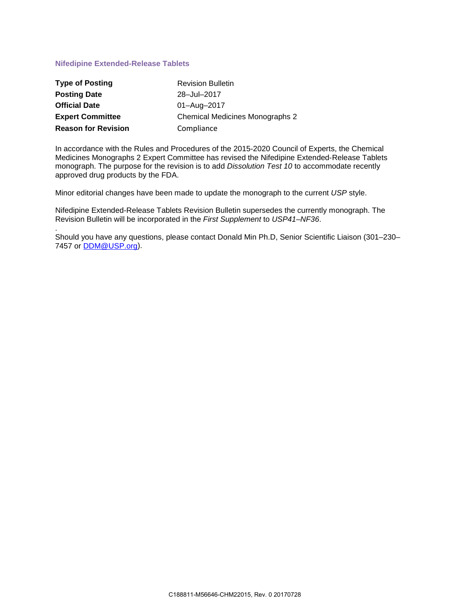## **Nifedipine Extended-Release Tablets**

| <b>Type of Posting</b>     | <b>Revision Bulletin</b>               |
|----------------------------|----------------------------------------|
| <b>Posting Date</b>        | 28-Jul-2017                            |
| <b>Official Date</b>       | 01-Aug-2017                            |
| <b>Expert Committee</b>    | <b>Chemical Medicines Monographs 2</b> |
| <b>Reason for Revision</b> | Compliance                             |

In accordance with the Rules and Procedures of the 2015-2020 Council of Experts, the Chemical Medicines Monographs 2 Expert Committee has revised the Nifedipine Extended-Release Tablets monograph. The purpose for the revision is to add *Dissolution Test 10* to accommodate recently approved drug products by the FDA.

Minor editorial changes have been made to update the monograph to the current *USP* style.

Nifedipine Extended-Release Tablets Revision Bulletin supersedes the currently monograph. The Revision Bulletin will be incorporated in the *First Supplement* to *USP41–NF36*.

. Should you have any questions, please contact Donald Min Ph.D, Senior Scientific Liaison (301–230– 7457 or [DDM@USP.org\)](mailto:DDM@USP.org).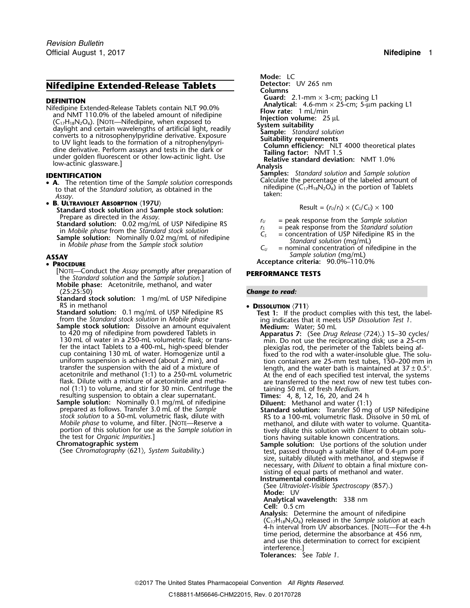# **Nifedipine Extended-Release Tablets Detector:** UV 265 nm

- **A** to that of the *Standard solution*, as obtained in the **Standard solution of the** *Standard solution*, as obtained in the **Standard solution** taken:
- B. ULTRAVIOLET ABSORPTION (197U) Standard stock solution and Sample stock solution:<br>Prepare as directed in the Assay. Standard solution: 0.02 mg/mL of USP Nifedipine RS<br>
in Mobile phase from the Standard solution: 0.02 mg/mL of USP Nifedipine RS<br>
in Mobile phase from the Standard stock solution<br>
in Mobile phase from the Sample solution:

### • PROCEDURE

- [NOTE—Conduct the *Assay* promptly after preparation of **PERFORMANCE TESTS** the *Standard solution* and the *Sample solution*.] **Mobile phase:** Acetonitrile, methanol, and water
- **Standard stock solution:** 1 mg/mL of USP Nifedipine RS in methanol
- RS in methanol<br> **Standard solution:** 0.1 mg/mL of USP Nifedipine RS<br>
from the *Standard stock solution* in *Mobile phase*<br> **Sample stock solution:** Dissolve an amount equivalent<br>
to 420 mg of nifedipine from powdered Tabl 130 mL of water in a 250-mL volumetric flask; or trans-<br>fer the intact Tablets to a 400-mL, high-speed blender<br>cup containing 130 mL of water. Homogenize until a fixed to the rod with a water-insoluble glue. The soluuniform suspension is achieved (about 2 min), and<br>transfer the suspension with the aid of a mixture of<br>acetonitrile and methanol (1:1) to a 250-mL volumetric<br>flask. Dilute with a mixture of acetonitrile and metha-<br>flask. nol (1:1) to volume, and stir for 30 min. Centrifuge the resulting 50 mL of fresh *Medium*.<br>
resulting suspension to obtain a clear supernatant.<br> **Times:** 4, 8, 12, 16, 20, and 24 h<br> **Rimes:** 4, 8, 12, 16, 20, and 24 h<br> **R**
- **Sample solution:** Nominally 0.1 mg/mL of nifedipine<br>prepared as follows. Transfer 3.0 mL of the Sample<br>stock solution to a 50-mL volumetric flask, dilute with<br>stock solution to a 50-mL volumetric flask, dilute with<br>RS to *Mobile phase* to volume, and filter. [NOTE—Reserve a methanol, and dilute with water to volume. Quantita-<br>portion of this solution for use as the *Sample solution* in tively dilute this solution with *Diluent* to obtain s portion of this solution for use as the *Sample solution* in tively dilute this solution with *Diluent* to obtain solu-<br>the test for *Organic Impurities*.] tions having suitable known concentrations.

**Mode:** LC **Columns DEFINITION**<br>
Cuard: 2.1-mm × 3-cm; packing L1<br>
Mifedipine Extended-Release Tablets contain NLT 90.0%<br>
and NMT 110.0% of the labeled amount of nifedipine<br>
(C<sub>17</sub>H<sub>18</sub>N<sub>2</sub>O<sub>6</sub>). [NOTE—Nifedipine, when exposed to<br>
daylight **Samples:** *Standard solution* and *Sample solution* **IDENTIFICATION** Calculate the percentage of the labeled amount of •

$$
Result = (r_U/r_S) \times (C_S/C_U) \times 100
$$

- 
- 
- 
- **ASSAY** *Sample solution* (mg/mL)
	- **<sup>P</sup>ROCEDURE Acceptance criteria:** 90.0%–110.0%

### **Change to read:**

- -
	-
	-

- 
- Chromatographic system<br>
(See Chromatography (621), System Suitability.)<br>
(See Chromatography (621), System Suitability.)<br>
(See Chromatography (621), System Suitability.) size, suitably diluted with methanol, and stepwise if necessary, with *Diluent* to obtain a final mixture consisting of equal parts of methanol and water.

**Instrumental conditions**

(See *Ultraviolet-Visible Spectroscopy* 〈857〉.) **Mode:** UV

**Analytical wavelength:** 338 nm

**Cell:** 0.5 cm **Analysis:** Determine the amount of nifedipine (C17H18N2O6) released in the *Sample solution* at each 4-h interval from UV absorbances. [NOTE—For the 4-h time period, determine the absorbance at 456 nm, and use this determination to correct for excipient interference.]

**Tolerances:** See *Table 1*.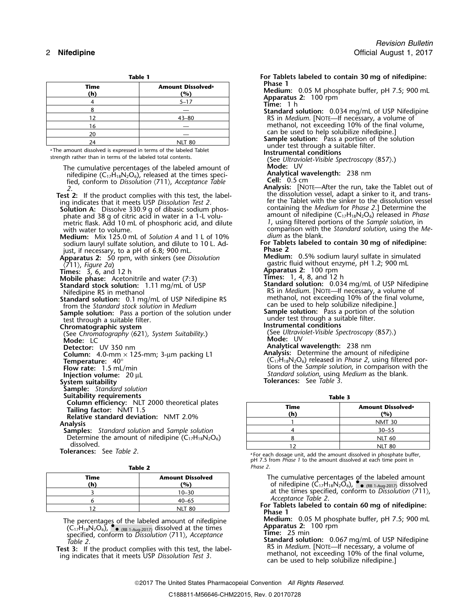|             |                                      | .                 |
|-------------|--------------------------------------|-------------------|
| Time<br>(h) | Amount Dissolved <sup>a</sup><br>(%) | Phase 1<br>Mediun |
|             | $5 - 17$                             | Appara<br>Time:   |
|             |                                      | Standar           |
| 12          | $43 - 80$                            | $RS$ in $\prime$  |
| 16          |                                      | metha             |
| 20          |                                      | can be            |
| 24          | <b>NLT 80</b>                        | Sample<br>indor   |

<sup>a</sup>The amount dissolved is expressed in terms of the labeled Tablet strength rather than in terms of the labeled total contents.

| The cumulative percentages of the labeled amount of<br>nifedipine ( $C_{17}H_{18}N_2O_6$ ), released at the times speci-<br>fied, conform to Dissolution $\langle 711 \rangle$ , Acceptance Table<br>2.<br><b>Test 2:</b> If the product complies with this test, the label-<br>ing indicates that it meets USP Dissolution Test 2.                                                                                          | Mode: UV<br>Analytical wavelength: 238 nm<br>Cell: $0.5 \text{ cm}$<br><b>Analysis:</b> [NOTE—After the run, take the Tablet out<br>the dissolution vessel, adapt a sinker to it, and trans<br>fer the Tablet with the sinker to the dissolution vess              |                                                                                                                                                                                                                                                                                                                                                                         |  |
|------------------------------------------------------------------------------------------------------------------------------------------------------------------------------------------------------------------------------------------------------------------------------------------------------------------------------------------------------------------------------------------------------------------------------|--------------------------------------------------------------------------------------------------------------------------------------------------------------------------------------------------------------------------------------------------------------------|-------------------------------------------------------------------------------------------------------------------------------------------------------------------------------------------------------------------------------------------------------------------------------------------------------------------------------------------------------------------------|--|
| Solution A: Dissolve 330.9 g of dibasic sodium phos-<br>phate and 38 g of citric acid in water in a 1-L volu-<br>metric flask. Add 10 mL of phosphoric acid, and dilute<br>with water to volume.<br><b>Medium:</b> Mix 125.0 mL of Solution A and 1 L of 10%<br>sodium lauryl sulfate solution, and dilute to 10 L. Ad-<br>just, if necessary, to a pH of 6.8; 900 mL.<br>Apparatus 2: 50 rpm, with sinkers (see Dissolution | dium as the blank.<br>Phase 2                                                                                                                                                                                                                                      | containing the <i>Medium</i> for <i>Phase 2.</i> ] Determine the<br>amount of nifedipine $(C_{17}H_{18}N_2O_6)$ released in <i>Phas</i><br>1, using filtered portions of the Sample solution, in<br>comparison with the Standard solution, using the M<br>For Tablets labeled to contain 30 mg of nifedipine:<br><b>Medium:</b> 0.5% sodium lauryl sulfate in simulated |  |
| $\langle 711 \rangle$ , Figure 2a)<br><b>Times:</b> $3, 6,$ and $12$ h<br><b>Mobile phase:</b> Acetonitrile and water (7:3)                                                                                                                                                                                                                                                                                                  | gastric fluid without enzyme, pH 1.2; 900 mL<br>Apparatus 2: 100 rpm<br>Times: 1, 4, 8, and 12 h                                                                                                                                                                   |                                                                                                                                                                                                                                                                                                                                                                         |  |
| <b>Standard stock solution:</b> 1.11 mg/mL of USP<br>Nifedipine RS in methanol<br>Standard solution: 0.1 mg/mL of USP Nifedipine RS                                                                                                                                                                                                                                                                                          | Standard solution: 0.034 mg/mL of USP Nifedipine<br>RS in <i>Medium</i> . [NOTE—If necessary, a volume of<br>methanol, not exceeding 10% of the final volume,                                                                                                      |                                                                                                                                                                                                                                                                                                                                                                         |  |
| from the Standard stock solution in Medium<br><b>Sample solution:</b> Pass a portion of the solution under<br>test through a suitable filter.                                                                                                                                                                                                                                                                                | can be used to help solubilize nifedipine.<br>Sample solution: Pass a portion of the solution<br>under test through a suitable filter.                                                                                                                             |                                                                                                                                                                                                                                                                                                                                                                         |  |
| Chromatographic system<br>(See Chromatography (621), System Suitability.)<br>Mode: LC                                                                                                                                                                                                                                                                                                                                        | Instrumental conditions<br>(See Ultraviolet-Visible Spectroscopy $\langle 857 \rangle$ .)<br>Mode: UV                                                                                                                                                              |                                                                                                                                                                                                                                                                                                                                                                         |  |
| Detector: UV 350 nm<br><b>Column:</b> 4.0-mm $\times$ 125-mm; 3-µm packing L1<br>Temperature: $40^\circ$<br>Flow rate: 1.5 mL/min                                                                                                                                                                                                                                                                                            | Analytical wavelength: 238 nm<br>Analysis: Determine the amount of nifedipine<br>$(C_1$ <sup><math>H_1</math><sub>8</sub>N<sub>2</sub>O<sub>6</sub>) released in <i>Phase 2</i>, using filtered por-</sup><br>tions of the Sample solution, in comparison with the |                                                                                                                                                                                                                                                                                                                                                                         |  |
| Injection volume: $20 \mu L$<br>System suitability<br><b>Sample:</b> Standard solution                                                                                                                                                                                                                                                                                                                                       | Standard solution, using Medium as the blank.<br><b>Tolerances:</b> See Table 3.                                                                                                                                                                                   |                                                                                                                                                                                                                                                                                                                                                                         |  |
| Suitability requirements<br>Column efficiency: NLT 2000 theoretical plates                                                                                                                                                                                                                                                                                                                                                   |                                                                                                                                                                                                                                                                    | Table 3                                                                                                                                                                                                                                                                                                                                                                 |  |
| Tailing factor: NMT 1.5<br><b>Relative standard deviation: NMT 2.0%</b>                                                                                                                                                                                                                                                                                                                                                      | <b>Time</b><br>(h)                                                                                                                                                                                                                                                 | Amount Dissolved <sup>a</sup><br>(%)                                                                                                                                                                                                                                                                                                                                    |  |
| <b>Analysis</b>                                                                                                                                                                                                                                                                                                                                                                                                              | $\mathbf{1}$                                                                                                                                                                                                                                                       | <b>NMT 30</b>                                                                                                                                                                                                                                                                                                                                                           |  |
| <b>Samples:</b> Standard solution and Sample solution                                                                                                                                                                                                                                                                                                                                                                        | $\overline{4}$                                                                                                                                                                                                                                                     | $30 - 55$                                                                                                                                                                                                                                                                                                                                                               |  |
| Determine the amount of nifedipine $(C_{17}H_{18}N_2O_6)$                                                                                                                                                                                                                                                                                                                                                                    | 8                                                                                                                                                                                                                                                                  | <b>NLT 60</b>                                                                                                                                                                                                                                                                                                                                                           |  |
| dissolved.<br><b>Tolerances:</b> See Table 2.                                                                                                                                                                                                                                                                                                                                                                                | 12                                                                                                                                                                                                                                                                 | <b>NLT 80</b>                                                                                                                                                                                                                                                                                                                                                           |  |
|                                                                                                                                                                                                                                                                                                                                                                                                                              | <sup>a</sup> For each dosage unit, add the amount dissolved in phosphate buffer,                                                                                                                                                                                   |                                                                                                                                                                                                                                                                                                                                                                         |  |

**Table 2** *Phase 2*.

| --------    |                                |  |
|-------------|--------------------------------|--|
| Time<br>(h) | <b>Amount Dissolved</b><br>(%) |  |
|             | $10 - 30$                      |  |
|             | $40 - 65$                      |  |
|             | <b>NLT 80</b>                  |  |

 $(C_{17}H_{18}N_2O_6)$ ,  $\bullet$  (RB 1-Aug-2017) dissolved at the times **Apparatus 2:** 100 rpm

**Table 1 For Tablets labeled to contain 30 mg of nifedipine: Medium:** 0.05 M phosphate buffer, pH 7.5; 900 mL<br>**Apparatus 2:** 100 rpm<br>**Time:** 1 h **Standard solution:** 0.034 mg/mL of USP Nifedipine RS in *Medium*. [NOTE—If necessary, a volume of methanol, not exceeding 10% of the final volume, can be used to help solubilize nifedipine. **Sample solution:** Pass a portion of the solution<br>under test through a suitable filter.<br>**Instrumental conditions** (See Ultraviolet-Visible Spectroscopy *(857).*)<br>Mode: UV Analytical wavelength: 238 nm **field**: 0.5 cm **2 Analysis:** [NOTE—After the run, take the Tablet out of the dissolution vessel, adapt a sinker to it, and transfer the Tablet with the sinker to the dissolution vessel containing the *Medium* for *Phase 2*.] Determine the amount of nifedipine (C<sub>17</sub>H<sub>18</sub>N<sub>2</sub>O<sub>6</sub>) released in *Phase* 1, using filtered portions of the *Sample solution*, in comparison with the *Standard solution*, using the Medium as the blank. For Tablets labeled to contain 30 *mg* of nifedipine:<br>Phase 2 **Medium:** 0.5% sodium lauryl sulfate in simulated qastric fluid without enzyme, pH 1.2; 900 mL **Apparatus 2:** 100 rpm **Times:** 1, 4, 8, and 12 h **Standard solution:** 0.034 mg/mL of USP Nifedipine RS in *Medium*. [NOTE—If necessary, a volume of methanol, not exceeding 10% of the final volume, under test through a suitable filter. **Instrumental conditions** (See *Ultraviolet-Visible Spectroscopy*  $\langle 857 \rangle$ .) **Mode:** UV **Analytical wavelength:** 238 nm **Flow rate:** 1.5 mL/min tions of the *Sample solution*, in comparison with the *Standard solution*, using *Medium* as the blank.

| Time<br>(h) | Amount Dissolved <sup>a</sup><br>(%) |
|-------------|--------------------------------------|
|             | <b>NMT 30</b>                        |
|             | $30 - 55$                            |
|             | <b>NLT 60</b>                        |
|             | <b>NLT 80</b>                        |

.For each dosage unit, add the amount dissolved in phosphate buffer, pH 7.5 from *Phase 1* to the amount dissolved at each time point in

The cumulative percentages of the labeled amount **(h)**  $($ **h** $)$   $($ **h** $)$   $($ **h** $)$   $($ **h** $)$   $($ **h** $)$   $($ **h** $)$   $($ **h** $)$   $($ **h** $)$   $($ **h** $)$   $($ **h** $)$  $($ **h** $)$  $($ **h** $)$  $($ **h** $)$  $($ **h** $)$  $($ **h** $)$  $($ **h** $)$  $($ **h** $)$  $($ **h** $)$  $($ **h** $)$  $($ **h** $)$  $($ **h** $)$  $($ **h** $)$  $($ **h** $)$ at the times specified, conform to *Dissolution*  $\langle 711 \rangle$ , *Acceptance Table 2*.

*Acceptance Table 2*. <sup>6</sup> 40–65 **For Tablets labeled to contain 60 mg of nifedipine:** <sup>12</sup> NLT 80 **Phase 1**

The percentages of the labeled amount of nifedipine<br>
(CarliablaCa) Carlian messes dissolved at the times<br> **Apparatus 2:** 100 rpm

Solution to Dissolution (711), Acceptance<br>
Time: 25 min<br>
The: 25 min<br>
The: 25 min<br>
Standard solution: 0.067 mg/mL of USP Nifedipine<br>
Test 3: If the product complies with this test, the label-<br>
ing indicates that it meets U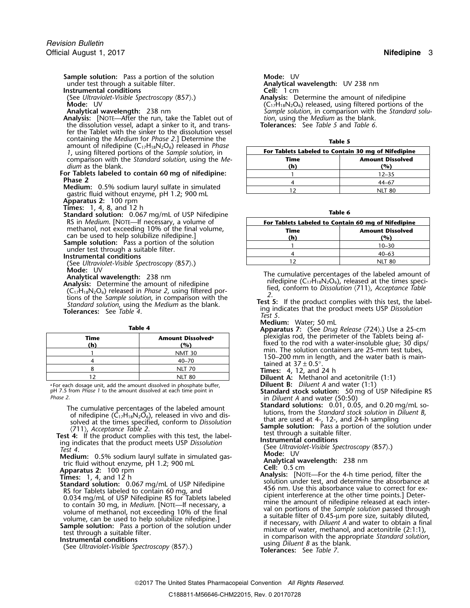**Sample solution:** Pass a portion of the solution **Mode:** UV under test through a suitable filter.

**Instrumental conditions** 

**Analysis:** [NOTE—After the run, take the Tablet out of *tion*, using the *Medium* as the blank.<br>19 the dissolution vessel, adapt a sinker to it, and trans-**Tolerances:** See Table 5 and Table 6. the dissolution vessel, adapt a sinker to it, and trans- **Tolerances:** See *Table 5* and *Table 6*. fer the Tablet with the sinker to the dissolution vessel containing the *Medium* for *Phase 2*.] Determine the amount of nifedipine (C<sub>17</sub>H<sub>18</sub>N<sub>2</sub>O<sub>6</sub>) released in *Phase 1*, using filtered portions of the *Sample solution*, in comparison with the *Standard solution*, using the *Medium* as the blank. **(h) (%)**

For Tablets labeled to contain 60 mg of nifedipine:<br>Phase 2

- **Medium:** 0.5% sodium lauryl sulfate in simulated gastric fluid without enzyme, pH 1.2; 900 mL
- **Apparatus 2:** 100 rpm<br>**Times:** 1, 4, 8, and 12 h
- 
- **Times:** 1, 4, 8, and 12 h **Table 6 Standard solution:** 0.067 mg/mL of USP Nifedipine methanol, not exceeding 10% of the final volume,
- can be used to help solubilize nifedipine.]<br> **Sample solution:** Pass a portion of the solution under test through a suitable filter.<br> **Instrumental conditions**
- 
- (See *Ultraviolet-Visible Spectroscopy*  $\langle 857 \rangle$ .)<br>Mode: UV
- 
- **Analytical wavelength:** 238 nm<br> **Analytical wavelength:** 238 nm<br> **Analytical wavelength:** 238 nm<br> **Analytical wavelength:** 238 nm<br> **Analytical wavelength:** 238 nm<br> **Analytical wavelength:** 238 nm<br> **Compulsion** in compari

|             |                                      | $\mu$                                                                                      |
|-------------|--------------------------------------|--------------------------------------------------------------------------------------------|
| Time<br>(h) | Amount Dissolved <sup>a</sup><br>(%) | plexiglas rod, the perimeter of the Tablets<br>fixed to the rod with a water-insoluble glu |
|             | <b>NMT 30</b>                        | min. The solution containers are 25-mm to                                                  |
|             | $40 - 70$                            | 150–200 mm in length, and the water bat<br>tained at $37 \pm 0.5^{\circ}$ .                |
|             | NLT 70                               | <b>Times:</b> 4, 12, and 24 h                                                              |
|             | <b>NLT 80</b>                        | <b>Diluent A:</b> Methanol and acetonitrile (1:1)                                          |

a .For each dosage unit, add the amount dissolved in phosphate buffer, **Diluent B:** *Diluent A* and water (1:1) <sup>p</sup>H 7.5 from *Phase 1* to the amount dissolved at each time point in **Standard stock solution:** 50 mg of USP Nifedipine RS

The cumulative percentages of the labeled amount<br>
of nifedipine  $(C_1,H_{18}N_2O_6)$ , released in vivo and dis-<br>
solved at the times specified, conform to *Dissolution*<br>
(711), *Acceptance Table 2*.<br> **Test 4:** If the product

**Medium:** 0.5% sodium lauryl sulfate in simulated gas-<br>tric fluid without enzyme, pH 1.2: 900 ml<br>tric fluid without enzyme, pH 1.2: 900 ml tric fluid without enzyme, pH 1.2; 900 mL<br>**Analytical Wavelength:** 238 nm **Cell:** 0.5 cm

Analytical wavelength: UV 238 nm<br>Cell: 1 cm

(See *Ultraviolet-Visible Spectroscopy* 〈857〉.) **Analysis:** Determine the amount of nifedipine **Mode:** UV **Mode:** UV **Row C17H18N2O6** released, using filtered portions of the manufacture of the standard solution, in comparison with the *Standard* solution. Sample solution, in comparison with the *Standard solution*, using the *Medium* as the blank.

| M.<br>٠<br>×<br>w | v |
|-------------------|---|
|-------------------|---|

| For Tablets Labeled to Contain 30 mg of Nifedipine |           |  |
|----------------------------------------------------|-----------|--|
| <b>Amount Dissolved</b><br>Time                    |           |  |
| (h)                                                | '%)       |  |
|                                                    | $12 - 35$ |  |
|                                                    | 44_67     |  |
|                                                    | NIT 80    |  |

| $\alpha$ and $\alpha$ solution. $\alpha$ , $\alpha$ , $\alpha$ , $\alpha$ , $\alpha$ , $\alpha$ , $\alpha$ , $\alpha$ , $\alpha$ , $\alpha$ , $\alpha$ , $\alpha$ , $\alpha$ , $\alpha$ , $\alpha$ , $\alpha$ , $\alpha$ , $\alpha$ , $\alpha$ , $\alpha$ , $\alpha$ , $\alpha$ , $\alpha$ , $\alpha$ , $\alpha$ , $\alpha$ , $\alpha$ , $\alpha$ , $\alpha$ , $\alpha$ , $\alpha$ , $\alpha$ , $\alpha$ , |                                                    |                         |  |
|------------------------------------------------------------------------------------------------------------------------------------------------------------------------------------------------------------------------------------------------------------------------------------------------------------------------------------------------------------------------------------------------------------|----------------------------------------------------|-------------------------|--|
| RS in <i>Medium</i> . [NOTE—If necessary, a volume of<br>methanol, not exceeding 10% of the final volume,                                                                                                                                                                                                                                                                                                  | For Tablets Labeled to Contain 60 mg of Nifedipine |                         |  |
|                                                                                                                                                                                                                                                                                                                                                                                                            | Time                                               | <b>Amount Dissolved</b> |  |
| can be used to help solubilize nifedipine.]                                                                                                                                                                                                                                                                                                                                                                | (h)                                                | (%)                     |  |
| <b>ample solution:</b> Pass a portion of the solution<br>under test through a suitable filter.<br>nstrumental conditions                                                                                                                                                                                                                                                                                   |                                                    | $10 - 30$               |  |
|                                                                                                                                                                                                                                                                                                                                                                                                            |                                                    | $40 - 63$               |  |
| (See Ultraviolet-Visible Spectroscopy (857).)                                                                                                                                                                                                                                                                                                                                                              |                                                    | <b>NLT 80</b>           |  |

- 
- 
- 
- **Medium:** Water; 50 mL **Table 4 Apparatus 7:** (See *Drug Release* 〈724〉.) Use a 25-cm **Time Amount Dissolved<sup>a</sup>** plexiglas rod, the perimeter of the Tablets being af- **. (h)** (b) (m) (%) fixed to the rod with a water-insoluble glue; 30 dips/ fixed to the rod with a water-insoluble glue; 30 dips/ min. The solution containers are 25-mm test tubes, 150–200 mm in length, and the water bath is
	-
	-

- 
- in *Diluent A* and water (50:50)<br>**Standard solutions:** 0.01, 0.05, and 0.20 mg/mL solutions, from the Standard stock solution in *Diluent B*,

**Apparatus 2:** 100 rpm **Cell:** 0.5 cm<br> **Apparatus 2:** 100 rpm **Cell:** 0.5 cm<br> **Analysis:** [Note Times: 1, 4, and 12 h and 12 h and colution rest and determine the electronical **Analysis:** [NOTE—For the 4-h time period, filter the<br> **Standard solution:** 0.067 mg/mL of USP Nifedipine<br> **Standard solution:** 0.067 mg/mL of USP Nifedipine<br>
As for Tablets labeled to contain 40 mg, and<br>  $\frac{456 \text{ nm}}{456$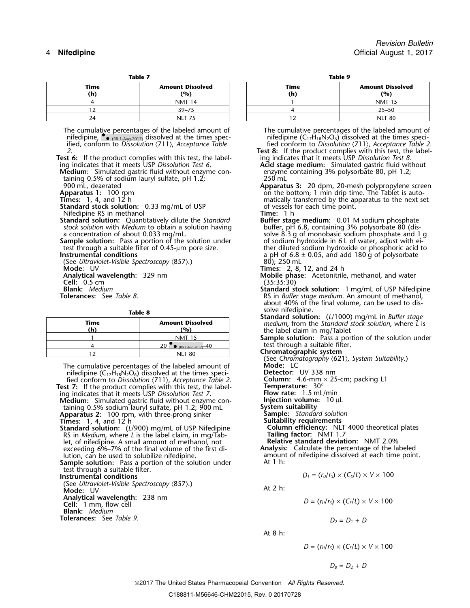| lan |  |
|-----|--|
|     |  |

| --------    |                                |  |
|-------------|--------------------------------|--|
| Time<br>(h) | <b>Amount Dissolved</b><br>(%) |  |
|             | <b>NMT 14</b>                  |  |
|             | $39 - 75$                      |  |
|             | NIT                            |  |

The cumulative percentages of the labeled amount of The cumulative percentages of the labeled amount of nifedipine  $\bullet$  (RB 1-Aug-2017) dissolved at the times speci-<br>The cumulative percentages of the labeled amount of nif ified, conform to *Dissolution* 〈711〉, *Acceptance Table* fied conform to *Dissolution* 〈711〉, *Acceptance Table 2*.

**Test 6:** If the product complies with this test, the label- ing indicates that it meets USP *Dissolution Test 8*.

**Medium:** Simulated gastric fluid without enzyme con- enzyme containing 3% polysorbate 80, pH 1.2; taining 0.5% of sodium lauryl sulfate, pH 1.2; 250 mL<br>1900 mL, deaerated and the subset of Apparati

**Standard stock solution:** 0.33 mg/mL of USP of vessels for each of vessels for each time point. Time: 1 h

Nifedipine RS in methanol<br> **Standard solution:** Quantitatively dilute the Standard **Time:** 1 h<br> **Time: 1 h Buffer stage medium:** 0.01 M sodium phosphate **Standard solution:** Quantitatively dilute the *Standard* **Buffer stage medium:** 0.01 M sodium phosphate *stock solution* with *Medium* to obtain a solution having

**Sample solution:** Pass a portion of the solution under test through a suitable filter of 0.45-µm pore size.

(See *Ultraviolet-Visible Spectroscopy* (857).)<br>**Mode:** UV **Analytical wavelength:** 329 nm<br> **Cell:** 0.5 cm (35:35:30)<br> **Blank:** Medium (35:30)<br> **Cell:** 0.5 cm (35:35:30)

| Time<br>(h) | <b>Amount Dissolved</b><br>(%) |
|-------------|--------------------------------|
|             | <b>NMT 15</b>                  |
|             | 20<br>(RB 1-Aug-2017) 40       |
|             |                                |

The cumulative percentages of the labeled amount of **Mode:** LC<br>
nifedipine (C<sub>17</sub>H<sub>18</sub>N<sub>2</sub>O<sub>6</sub>) dissolved at the times speci-<br>
Fied conform to *Dissolution*  $\langle 711 \rangle$ , *Acceptance Table 2*. Column: 4.6-mm  $\times$  25-cm; pac nifedipine (C<sub>17</sub>H<sub>18</sub>N<sub>2</sub>O<sub>6</sub>) dissolved at the times speci-**Detector:** UV 338 nm fied conform to *Dissolution* 〈711〉, *Acceptance Table 2*. **Column:** 4.6-mm × 25-cm; packing L1

**Test 7:** If the product complies with this test, the label-<br>
ing indicates that it meets USP *Dissolution Test 7*. **Flow rate:** 1.5 mL/min<br> **Medium:** Simulated gastric fluid without enzyme con-<br> **Injection volume:** 10 µL ing indicates that it meets USP Dissolution Test 7.

**Medium:** Simulated gastric fluid without enzyme con- **Injection volume**<br>taining 0.5% sodium lauryl sulfate, pH 1.2; 900 mL **System suitability** taining 0.5% sodium lauryl sulfate, pH 1.2; 900 mL **Apparatus 2:** 100 rpm, with three-prong sinker **Sample:** *Standard solution*

**Standard solution:** (*L*/900) mg/mL of USP Nifedipine RS in *Medium*, where *L* is the label claim, in mg/Tab- **Tailing factor:** NMT 1.7 let, of nifedipine. A small amount of methanol, not **Relative standard deviation:** NMT 2.0% exceeding 6%–7% of the final volume of the first di-<br>*Aution, can be used to solubilize nifedipine.* 

Sample solution: Pass a portion of the solution under test through a suitable filter.

 $\overline{\text{U}}$  **D**  $\overline{\text{U}}$  *D*  $\overline{\text{U}}$  *D*  $\overline{\text{U}}$  *D*  $\overline{\text{U}}$  *Conditions* 

(See *Ultraviolet-Visible Spectroscopy* 〈857〉.)<br>**Mode:** UV At 2 h: **Analytical wavelength:** 238 nm<br>**Cell:** 1 mm, flow cell

**Blank:** *Medium*

**Tolerances:** See *Table 9*.  $D_2 = D_1 + D_2$ 

| Table 7 | Table 9 |
|---------|---------|
|         |         |

| Time<br>(h) | <b>Amount Dissolved</b><br>(9) | Time<br>(h' | <b>Amount Dissolved</b><br>(%) |
|-------------|--------------------------------|-------------|--------------------------------|
|             | <b>NMT 14</b>                  |             | <b>NMT 15</b>                  |
|             | $39 - 75$                      |             | $25 - 50$                      |
| 24          | NLT 75                         |             | <b>NLT 80</b>                  |

 $\bullet$  (RB 1-Aug-2017) dissolved at the times spec- nifedipine (C<sub>17</sub>H<sub>18</sub>N<sub>2</sub>O<sub>6</sub>) dissolved at the times speci-

**7est 8:** If the product complies with this test, the labeling indicates that it meets USP Dissolution Test 8.<br>**Acid stage medium:** Simulated gastric fluid without

- ing indicates that it meets USP *Dissolution Test 6*. **Acid stage medium:** Simulated gastric fluid without
- 900 mL, deaerated **Apparatus 3:** 20 dpm, 20-mesh polypropylene screen on the bottom; 1 min drip time. The Tablet is auto-**Times:** 1, 4, and 12 h **h** matically transferred by the apparatus to the next set **Standard stock solution:** 0.33 mg/mL of USP of vessels for each time point.

a concentration of about 0.033 mg/mL.<br>Sample solution: Pass a portion of the solution under and solium hydroxide in 6 L of water, adjust with eitest through a suitable filter of 0.45-µm pore size.<br>ther diluted sodium hydroxide or phosphoric acid to<br>a pH of  $6.8 \pm 0.05$ , and add 180 g of polysorbate a pH of 6.8 ± 0.05, and add 180 g of polysorbate 80); 250 mL

**Times:** 2, 8, 12, and 24 h

**Mobile phase:** Acetonitrile, methanol, and water

- **Blank:** *Medium* **Standard stock solution:** 1 mg/mL of USP Nifedipine **Tolerances:** See *Table 8*. RS in *Buffer stage medium*. An amount of methanol, about 40% of the final volume, can be used to dis-
	- **Table 8 Standard solve nifedipine.**<br>**Standard solution:** (*L*/1000) mg/mL in *Buffer stage*<br>*medium*, from the *Standard stock solution*, where *L* is **(h) (%)** the label claim in mg/Tablet

**Sample solution:** Pass a portion of the solution under test through a suitable filter.

**Chromatographic system** 

(See *Chromatography* 〈621〉*, System Suitability*.) **Sample:** *Standard solution*<br>**Suitability requirements**<br>**Column efficiency:** NLT 4000 theoretical plates<br>**Tailing factor:** NMT 1.7

amount of nifedipine dissolved at each time point.<br>At 1 h:

$$
D_1 = (r_U/r_S) \times (C_S/L) \times V \times 100
$$

$$
D = (r_{U}/r_{S}) \times (C_{S}/L) \times V \times 100
$$

At 8 h:

$$
D = (rU/rS) \times (CS/L) \times V \times 100
$$

2017 The United States Pharmacopeial Convention *All Rights Reserved.*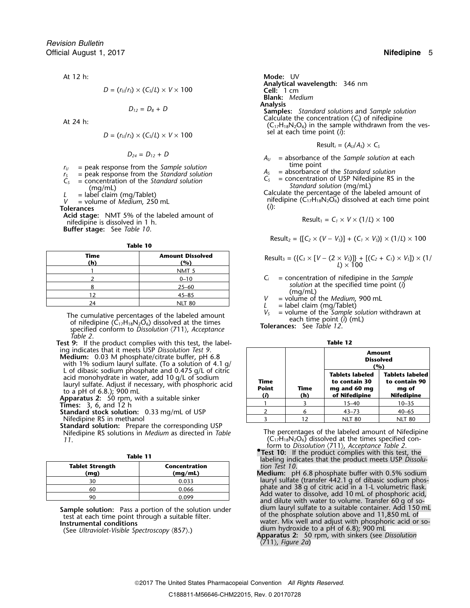$$
D = (r_{U}/r_{S}) \times (C_{S}/L) \times V \times 100
$$

$$
D_{12}=D_8+D
$$

$$
D = (r_{U}/r_{S}) \times (C_{S}/L) \times V \times 100
$$

- 
- 
- 

**Acid stage:** NMT 5% of the labeled amount of nifedipine is dissolved in 1 h. **Buffer stage:** See *Table 10*.

**Table 10**

| Time<br>(h) | <b>Amount Dissolved</b><br>(%) |
|-------------|--------------------------------|
|             | NMT <sub>5</sub>               |
|             | $0 - 10$                       |
|             | $25 - 60$                      |
| 1 つ         | $45 - 85$                      |
|             | <b>NLT 80</b>                  |

The cumulative percentages of the labeled amount<br>of nifedipine  $(C_{17}H_{18}N_2O_6)$  dissolved at the times<br>specified conform to Dissolution  $\langle 711 \rangle$ , Acceptance<br>Acceptance Tolerances: See Table 12. *Table 2*.

**Test 9:** If the product complies with this test, the label-<br>
ing indicates that it meets USP Dissolution Test 9.

**Medium:** 0.03 M phosphate/citrate buffer, pH 6.8<br>with 1% sodium lauryl sulfate. (To a solution of 4.1 g/<br>L of dibasic sodium phosphate and 0.475 g/L of citric<br>acid monohydrate in water, add 10 g/L of sodium<br>lauryl sulfat

**Standard stock solution:** 0.33 mg/mL of USP<br>**Standard stock solution:** 0.33 mg/mL of USP Nifedipine RS in methanol

**Standard solution:** Prepare the corresponding USP

| <b>Tablet Strength</b><br>(mg) | Concentration<br>(mq/mL) |  |
|--------------------------------|--------------------------|--|
| ٦Λ                             | 0.033                    |  |
| 60                             | 0.066                    |  |
| ۵r                             | n naa                    |  |

At 12 h: **Mode:** UV **Analytical wavelength:** 346 nm *D* = (*<sup>r</sup>U*/*<sup>r</sup>S*) × (*CS*/*L*) <sup>×</sup> *V* <sup>×</sup> 100 **Cell:** 1 cm **Blank:** *Medium* **Analysis**<br>*Samples: Standard solutions and Sample solution***<br>Calculate the concentration (C<sub>i</sub>) of nifedipine** Calculate the concentration (*C<sub>i</sub>*) of nifedipine<br>(C<sub>17</sub>H<sub>18</sub>N<sub>2</sub>O<sub>6</sub>) in the sample withdrawn from the ves- $\delta$  sel at each time point (*i*):

$$
Result_i = (A_U/A_S) \times C_S
$$

 $D_{24} = D_{12} + D$  *A<sub>U</sub>* = absorbance of the *Sample solution* at each

 $r_0$  = peak response from the Sample solution<br>  $r_5$  = peak response from the Standard solution<br>  $C_5$  = concentration of the Standard solution<br>  $C_5$  = concentration of the Standard solution<br>
(mg/mL)<br>  $L$  = label claim

$$
Result_1 = C_1 \times V \times (1/L) \times 100
$$

Result<sub>2</sub> = {[
$$
C_2 \times (V - V_s)
$$
] + ( $C_1 \times V_s$ )}  $\times$  (1/*L*)  $\times$  100

| Time | Amount Dissolved | Result <sub>3</sub> = ( $\{C_3 \times [V - (2 \times V_5)]\} + [(C_2 + C_1) \times V_5]) \times (1/\ell)$ |
|------|------------------|-----------------------------------------------------------------------------------------------------------|
| (h)  | (%)              | Result <sub>3</sub> = ( $\{C_3 \times [V - (2 \times V_5)]\} + [(C_2 + C_1) \times V_5]) \times (1/\ell)$ |

- $C_i$  = concentration of nifedipine in the *Sample solution* at the specified time point (*i*)<br>
(mg/mL)<br> *V* = volume of the *Medium*, 900 mL<br> *L* = label claim (mg/Tablet)<br> *V<sub>S</sub>* = volume of the *Sample solution* withdrawn at
- 
- 
- 

| nces: See <i>Table LZ.</i> |  |  |
|----------------------------|--|--|
|                            |  |  |

| Table 12 |  |
|----------|--|

|                             |             |                                                                          | Amount<br><b>Dissolved</b><br>(%)                                     |
|-----------------------------|-------------|--------------------------------------------------------------------------|-----------------------------------------------------------------------|
| Time<br><b>Point</b><br>(i) | Time<br>(h) | <b>Tablets labeled</b><br>to contain 30<br>mg and 60 mg<br>of Nifedipine | <b>Tablets labeled</b><br>to contain 90<br>mg of<br><b>Nifedipine</b> |
|                             |             | $15 - 40$                                                                | $10 - 35$                                                             |
| 2                           | 6           | $43 - 73$                                                                | $40 - 65$                                                             |
|                             | 12          | <b>NLT 80</b>                                                            | <b>NLT 80</b>                                                         |

Nifedipine RS solutions in *Medium* as directed in *Table* The percentages of the labeled amount of Nifedipine  $(C_{17}H_{18}N_2O_6)$  dissolved at the times specified conform to *Dissolution* 〈711〉, *Acceptance Table 2*. **•**

- **.Test 10:** If the product complies with this test, the **Table 11** labeling indicates that the product meets USP *Dissolu-***Tablet Strength Concentration** *tion Test 10*.
- **(mg) (mg/mL) Medium:** pH 6.8 phosphate buffer with 0.5% sodium Sultant 1 of the sultant of the sultant of the sultant sulfate (transfer 442.1 g of dibasic sodium phos-<br>phate and 38 g of citric acid in a 1-L volumetric flask. phate and 38 g of citric acid in a 1-L of phosphoric acid, and dilute with water to volume. Transfer 60 g of so-<br>dium lauryl sulfate to a suitable container. Add 150 mL **Sample solution:** Pass a portion of the solution under<br>
test at each time point through a suitable filter.<br> **Instrumental conditions**<br>
(See Ultraviolet-Visible Spectroscopy (857).)<br>
(See Ultraviolet-Visible Spectroscopy (

〈711〉, *Figure 2a*)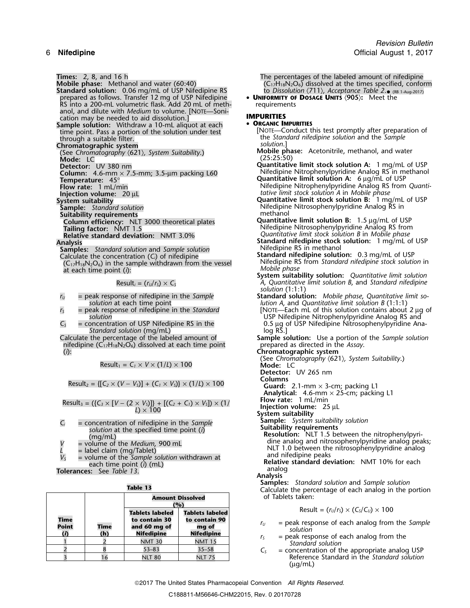**Times:** 2, 8, and 16 h **The percentages of the labeled amount of nifedipine**<br> **Mobile phase:** Methanol and water (60:40) **The percentages of the labeled amount of nifedipine**<br>
(C<sub>17</sub>H<sub>18</sub>N<sub>2</sub>O<sub>6</sub>) dissolved at the times s **Standard solution:** 0.06 mg/mL of USP Nifedipine RS to *Dissolution*  $\langle 711 \rangle$ *, Acceptance Table 2*.  $_{\text{OR}}$  (Respreed as follows. Transfer 12 mg of USP Nifedipine **COUNTED SET SET SET SET ASSAGE UNITS**  $\langle 905 \rangle$ : Mee prepared as follows. Transfer 12 mg of USP Nifedipine • **UNIFORMITY OF DOSAGE UNITS** 〈**905**〉**:** Meet the RS into a 200-mL volumetric flask. Add 20 mL of meth- requirements anol, and dilute with *Medium* to volume. [NOTE—Sonication may be needed to aid dissolution.] **IMPURITIES Sample solution:** Withdraw a 10-mL aliquot at each **CORGANIC IMPURITIES**<br>time point. Pass a portion of the solution under test [NOTE—Conduct this test promptly after preparation of time point. Pass a portion of the solution under test [NOTE—Conduct this test promptly after preparation of through a suitable filter.<br> **Example 1999** the *Standard nifedipine solution* and the *Sample*<br> **Example 50** solut **Chromatographic system**<br>(See Chromatography (621), System Suitability.) **Mobile phase:** Acetonitrile, methanol, and water **Mobile phase:** Acetonitrile, methanol, and water (See *Chromatography* 〈621〉*, System Suitability*.) **Mode:** (25:25:50) LC **Detector:** LC **Detector:** UV 380 nm<br>**Detector:** UV 380 nm **Quantitative limit stock solution A:** 1 mg/mL of USP<br>**Column:** 4.6-mm x 7.5-mm: 3.5-um packing L60 **Nifedipine Nitrophenylpyridine Analog RS** in methanol **Column:** UV 380 nm<br>**Column:** 4.6-mm × 7.5-mm; 3.5-µm packing L60<br>**Temperature:** 45° **Temperature:** 45° **Temperature:** 45° **Cuantitative limit solution A:** 6 µg/mL of USP<br>**Flow rate:** 1 mL/min **Nitediplie Nitrophenylpyridine Analog RS** from **INSTREET THE PRODUCE 20 µL** *tative limit stock solution A* **in** *Mobile phase***<br>
<b>Injection volume:** 20 µL **System suitability Quantiliative limit stock solution B**: 1 mg<br> **System suitability System suitability**<br> **System suitability**<br> **Sample:** Standard solution **System** Standard solution **System** Standard solution **System** Standard Standard Standard Standard Standard Standard Standard Standard Standard Standa **Sample:** *Standard solution* Nifedipine Nitrosophenylpyridine Analog RS in Suitability requirements and the Standard Suitability requirements **Suitability requirements methanol methanol Column efficiency:** NLT 3000 theoretical plates **Quantitative limit solution B:** 1.5 <sup>µ</sup>g/mL of USP **Tailing factor:** NMT 1.5 Nifedipine Nitrosophenylpyridine Analog RS from **Relative standard deviation:** NMT 3.0% *Quantitative limit stock solution B* in *Mobile phase* Analysis<br>**Analysis Standard Standard nifedipine stock solution:** 1 mg/mL of USP<br>**Samples:** Standard solution and Sample solution **Standard nifedipine RS** in methanol **Samples:** *Standard solution* and *Sample solution* **Nifedipine RS in methanol Calculate the concentration** (C) of pifedipine **Standard nifedipine solution:** 0.3 mg/mL of USP Calculate the concentration  $(C_i)$  of nifedipine  $(C_1, H_{18}N_2O_6)$  in the sample withdrawn from the vessel at each time point (*i*): *Mobile phase*

- 
- 
- *Standard solution* (mg/mL)<br>Calculate the percentage of the labeled amount of
- nifedipine  $(C_{17}H_{18}N_2O_6)$  dissolved at each time point (*i*): **Chromatographic system**

$$
Result_1 = C_1 \times V \times (1/L) \times 100
$$

 $Result_2 = \{ [C_2 \times (V - V_5)] + (C_1 \times V_5) \} \times (1/L) \times 100$  **Columns Guard:** 2.1-mm × 3-cm; packing L1

$$
Result_3 = (\{C_3 \times [V - (2 \times V_3)]\} + [(C_2 + C_1) \times V_3]) \times (1 / L)
$$

- 
- 
- 
- 

|                             |                    |                                                                              | <b>Amount Dissolved</b><br>(%)                                        | of Tablets taken:                                                                                                      |
|-----------------------------|--------------------|------------------------------------------------------------------------------|-----------------------------------------------------------------------|------------------------------------------------------------------------------------------------------------------------|
| <b>Time</b><br><b>Point</b> | <b>Time</b><br>(h) | <b>Tablets labeled</b><br>to contain 30<br>and 60 mg of<br><b>Nifedipine</b> | <b>Tablets labeled</b><br>to contain 90<br>mg of<br><b>Nifedipine</b> | Result = $(r_U/r_s) \times (C_s/C_u) \times 100$<br>$=$ peak response of each analog from the Sample<br>Γυ<br>solution |
|                             |                    | <b>NMT 30</b>                                                                | <b>NMT 15</b>                                                         | $=$ peak response of each analog from the<br>$r_{\rm S}$<br>Standard solution                                          |
|                             |                    | $53 - 83$                                                                    | $35 - 58$                                                             | $\mathsf{C}^{\mathsf{c}}$                                                                                              |
|                             |                    | <b>NLT 80</b>                                                                | <b>NLT 75</b>                                                         | = concentration of the appropriate analog USP<br>Reference Standard in the Standard solution                           |

 $(C_{17}H_{18}N_2O_6)$  dissolved at the times specified, conform • (RB 1-Aug-2017)

- -
	-
	-
	- **Flow rate:** Nifedipine Nitrophenylpyridine Analog RS from *Quanti-*<sup>1</sup> mL/min
	-
	-
	-
	- Nifedipine RS from *Standard nifedipine stock solution* in *Mobile phase*
- **System suitability solution:** *Quantitative limit solution* Result<sub>i</sub> =  $(r<sub>U</sub>/r<sub>S</sub>) \times C<sub>S</sub>$  *A*, *Quantitative limit solution B*, and *Standard nifedipine solution* (1:1:1)
- *r*<sub>*U*</sub> = peak response of nifedipine in the *Sample* **Standard solution:** *Mobile phase, Quantitative limit so*-<br> *Iution A, and Quantitative limit solution B* (1:1:1)
- *solution* at each time point<br>point *lution A*, and *Quantitative limit solution B* (1:1:1)<br>point *INOTE*—Each mL of this solution contains about *<sup>r</sup><sup>S</sup>* = peak response of nifedipine in the *Standard* [NOTE—Each mL of this solution contains about 2 µg of *solution*<br>In USP Nifedipine Nitrophenylpyridine Analog RS and<br>O.5 µg of USP Nifedipine Nitrosophenylpyridine Analog RS and RS in the USP Nifedipine Nitrosophenylpyridine An  $C_s$  = concentration of USP Nifedipine RS in the 0.5 pm of USP Nifedipine Nitrosophenylpyridine Ana-<br>Standard solution (mg/mL) 6.5 µg of USP Nifedipine Nitrosophenylpyridine Ana-
	- **Sample solution:** Use a portion of the *Sample solution*: prepared as directed in the *Assay*.
	-
	- (See *Chromatography* 〈621〉*, System Suitability*.) Result<sup>1</sup> <sup>=</sup>*C<sup>1</sup>* <sup>×</sup> *<sup>V</sup>* <sup>×</sup> (1/*L*) ×<sup>100</sup> **Mode:** LC
	- **Detector:** UV 265 nm
	-
	-
	- **Analytical:** 4.6-mm × 25-cm; packing L1 **Flow rate:** 1 mL/min
	-
	-
	- Injection volume: 25 µL<br>System suitability<br>Sample: System suitability solution
	-
- *C<sub>i</sub>* = concentration of nifedipine in the *Sample*<br>
solution at the specified time point (*i*)<br>
(mg/mL)<br>  $V =$  volume of the *Medium*, 900 mL<br>  $I =$  label claim (mg/Tablet)<br>  $V_s =$  volume of the *Sample solution* withdrawn

**Samples:** *Standard solution* and *Sample solution* **Table 13** Calculate the percentage of each analog in the portion of Tablets taken:

$$
Result = (r_U/r_S) \times (C_S/C_U) \times 100
$$

- 
- 
- $C<sub>S</sub>$  = concentration of the appropriate analog USP Reference Standard in the *Standard solution*  $(\mu g/mL)$

2017 The United States Pharmacopeial Convention *All Rights Reserved.*